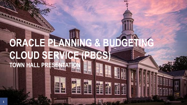# **ORACLE PLANNING & BUDGETING CLOUD SERVICE (PBCS) TOWN HALL PRESENTATION**

生理事

**1**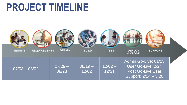### **PROJECT TIMELINE**

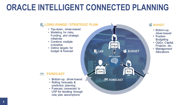### **ORACLE INTELLIGENT CONNECTED PLANNING**

#### **& LONG-RANGE / STRATEGIC PLAN** • Top-down, driver-based • Modeling for risks, Funding, and strategic initiatives • Combine multiple scenarios FP&A • Define targets for **B**<sub>o</sub> LRP **& BUDGET** budget & forecast **INTELLIGENT LOBs BUs ÔÔ FORECAST** • Rolling forecasts & predictive planning • Forecast connected to LRP for iterating through

#### **& BUDGET**

- Bottom-up, driver-based
- Position **Budgeting**
- OpEx, Capital, Projects, etc.
- Management **Allocations**

#### **FORECAST**

- Bottom-up, driver-based
- 
- new plan assumptions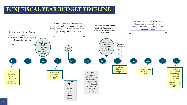#### TCNJ FISCAL YEAR BUDGET TIMELINE

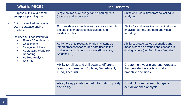|           | <b>What is PBCS?</b>                                                                                                                                                                                                                                                                                                   | <b>The Benefits</b>                                                                                                                                          |                                                                                                                                |  |  |  |  |
|-----------|------------------------------------------------------------------------------------------------------------------------------------------------------------------------------------------------------------------------------------------------------------------------------------------------------------------------|--------------------------------------------------------------------------------------------------------------------------------------------------------------|--------------------------------------------------------------------------------------------------------------------------------|--|--|--|--|
|           | Purpose built cloud-based<br>enterprise planning tool<br>Built on a multi-dimensional<br>OLAP database engine<br>(Essbase)<br>Includes (but not limited to):<br>Forms / Dashboards<br><b>Calculations</b><br><b>Navigation Flows</b><br>Approvals / Workflow<br>Reporting<br><b>Ad Hoc Analysis</b><br><b>Security</b> | Single source of all budget and planning data<br>(revenue and expenses)                                                                                      | Shifts end users' time from collecting to<br>analyzing                                                                         |  |  |  |  |
| $\bullet$ |                                                                                                                                                                                                                                                                                                                        | Ensures data is complete and accurate through<br>the use of standardized calculations and<br>validation rules                                                | Ability for end users to conduct their own<br>analysis (ad-hoc, standard and visual<br>reporting)                              |  |  |  |  |
|           |                                                                                                                                                                                                                                                                                                                        | Ability to create repeatable and maintainable<br>import processes for source data used in the<br>budgeting and planning process (Financials,<br>Student, HR) | Ability to create various scenarios and<br>models based on trends and changes in<br>driving factors (i.e. Enrollment Modeling) |  |  |  |  |
|           |                                                                                                                                                                                                                                                                                                                        | Ability to roll up and drill down to different<br>levels of information (College, Department,<br>Fund, Account)                                              | Create multi-year plans and forecasts<br>that provide the ability to make<br>proactive decisions                               |  |  |  |  |
|           |                                                                                                                                                                                                                                                                                                                        | Ability to aggregate budget information quickly<br>and easily                                                                                                | Conduct more frequent budget to<br>actual variance analysis                                                                    |  |  |  |  |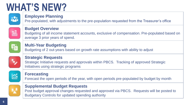# **WHAT'S NEW?**



#### **Employee Planning**

Pre-populated, with adjustments to the pre-population requested from the Treasurer's office



#### **Budget Overview**

Budgeting of all income statement accounts, exclusive of compensation. Pre-populated based on average 3 prior years of spend.



#### **Multi-Year Budgeting**

Budgeting of 2 out-years based on growth rate assumptions with ability to adjust



#### **Strategic Requests**

Strategic Initiative requests and approvals within PBCS. Tracking of approved Strategic Initiatives using strategic programs



#### **Forecasting**

Forecast the open periods of the year, with open periods pre-populated by budget by month



#### **Supplemental Budget Requests**

Post budget approval changes requested and approved via PBCS. Requests will be posted to Budgetary Controls for updated spending authority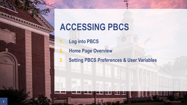

**7**

### **ACCESSING PBCS**

- **1. Log into PBCS**
- **2. Home Page Overview**
- **3. Setting PBCS Preferences & User Variables**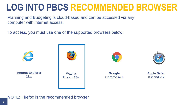### **LOG INTO PBCS RECOMMENDED BROWSER**

Planning and Budgeting is cloud-based and can be accessed via any computer with internet access.

To access, you must use one of the supported browsers below:



#### **NOTE**: Firefox is the recommended browser.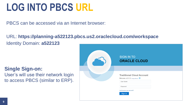### **LOG INTO PBCS URL**

PBCS can be accessed via an Internet browser:

URL: **https://planning-a522123.pbcs.us2.oraclecloud.com/workspace**  Identity Domain: **a522123**

#### **Single Sign-on:**

User's will use their network login to access PBCS (similar to ERP).

| <b>SIGN IN TO</b><br><b>ORACLE CLOUD</b>                          |  |
|-------------------------------------------------------------------|--|
|                                                                   |  |
| <b>Traditional Cloud Account</b><br>Welcome a522123 change domain |  |
| <b>User Name</b><br>Password                                      |  |
| Can't access your account?                                        |  |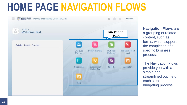# **HOME PAGE NAVIGATION FLOWS**



**Navigation Flows** are a grouping of related content, such as forms, which support the completion of a specific business process.

The Navigation Flows provide you with a simple and streamlined outline of each step in the budgeting process.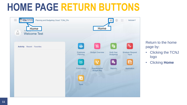## **HOME PAGE RETURN BUTTONS**



Return to the home page by:

- Clicking the TCNJ logo
- Clicking **Home**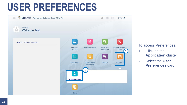### **USER PREFERENCES**



#### To access Preferences:

- 1. Click on the **Application** cluster
- 2. Select the **User Preferences** card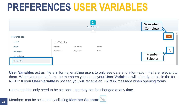### **PREFERENCES USER VARIABLES**

|                                         |                           | $\mathcal{U}$<br><b>User Preferences</b> | Save when<br>Complete |                                            |
|-----------------------------------------|---------------------------|------------------------------------------|-----------------------|--------------------------------------------|
| <b>Preferences</b><br>General           | User Variables            | ____                                     |                       | $\left\vert \mathbf{A}\right\vert$<br>Save |
| <b>Display</b><br>Notifications         | Dimension<br>Organization | User Variable<br>Org_UserVar             | Member<br>ACAD        | $\overline{\mathbb{F}}$                    |
| Ad Hoc Options<br><b>User Variables</b> |                           |                                          |                       | Member<br>Selector                         |

**User Variables** act as filters in forms, enabling users to only see data and information that are relevant to them. When you open a form, the members you set as your **User Variables** will already be set in the form. NOTE: If your **User Variable** is not set, you will receive an ERROR message when opening forms.

User variables only need to be set once, but they can be changed at any time.

**13**

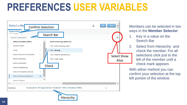### **PREFERENCES USER VARIABLES**



Members can be selected in two ways in the **Member Selector**:

- 1. Key in a value on the Search Bar
- 2. Select from Hierarchy and check the member. For all selections click just to the left of the member until a check mark appears

With either method you can confirm your selection at the top left portion of the window.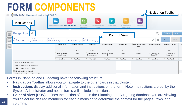# **FORM COMPONENTS**



Forms in Planning and Budgeting have the following structure:

**15**

- **Navigation Toolbar** allows you to navigate to the other cards in that cluster.
- **Instructions** display additional information and instructions on the form. Note: Instructions are set by the System Administrator and not all forms will include instructions.
- **Point of View (POV)** defines the section of data in the Planning and Budgeting database you are viewing. You select the desired members for each dimension to determine the context for the pages, rows, and columns.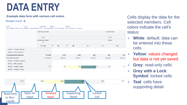# **DATA ENTRY**

#### **Example data form with various cell colors**

Budget Input <sup>®</sup>

Eund LEntity Organization Program Category The College of New Jersey 100000 - General Fund 1701 - Nursing 0000 - Default Program 100 - Instruction - General

|                                | <b>Total Plan Element</b> | Inputted Data |                |       |         |               |         |         |  |
|--------------------------------|---------------------------|---------------|----------------|-------|---------|---------------|---------|---------|--|
| FY20<br>Remaining Budget<br>\$ |                           |               | FY21           |       |         |               |         |         |  |
|                                |                           |               | Budget         |       |         |               |         |         |  |
|                                | YearTotal                 | $\pm$         | Q <sub>1</sub> | $\pm$ | Q2      | Jan           | Feb     | Mar     |  |
| 602095 - Pension Expense       |                           |               |                |       |         |               |         |         |  |
| 602096 - OPEB Expense          |                           |               |                |       |         |               |         |         |  |
| □ Fringe Benefits Expense      | 657,028                   |               | 1,898          |       | 1,968   | 626           | 607     | 639     |  |
| Personnel Expenses             | 2,055,930                 |               | 485,823        |       | 503,817 | 160,305       | 155,398 | 163,577 |  |
| 604000 - Athletic Equipment    |                           |               |                |       |         |               |         |         |  |
| 604010 - Gifts Expense         |                           |               |                |       |         |               |         |         |  |
| 604020 - Graphic Design        | 774                       |               | 198            |       | 206     | $65$ $\theta$ | 63      | 67      |  |
| 604030 - Graphic Printing      |                           |               |                |       |         |               |         |         |  |
|                                |                           |               |                |       |         |               |         |         |  |



Cells display the data for the selected members. Cell colors indicate the cell's status:

- + **White**: default; data can be entered into these cells
- + **Yellow**: values changed but data is not yet saved
- + **Grey**: read-only cells
- + **Grey with a Lock Symbol**: locked cells
- + **Teal**: cells have supporting detail